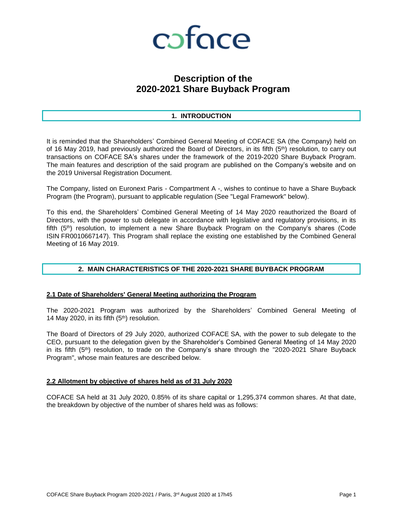

# **Description of the 2020-2021 Share Buyback Program**

# **1. INTRODUCTION**

It is reminded that the Shareholders' Combined General Meeting of COFACE SA (the Company) held on of 16 May 2019, had previously authorized the Board of Directors, in its fifth (5<sup>th</sup>) resolution, to carry out transactions on COFACE SA's shares under the framework of the 2019-2020 Share Buyback Program. The main features and description of the said program are published on the Company's website and on the 2019 Universal Registration Document.

The Company, listed on Euronext Paris - Compartment A -, wishes to continue to have a Share Buyback Program (the Program), pursuant to applicable regulation (See "Legal Framework" below).

To this end, the Shareholders' Combined General Meeting of 14 May 2020 reauthorized the Board of Directors, with the power to sub delegate in accordance with legislative and regulatory provisions, in its fifth (5<sup>th</sup>) resolution, to implement a new Share Buyback Program on the Company's shares (Code ISIN FR0010667147). This Program shall replace the existing one established by the Combined General Meeting of 16 May 2019.

# **2. MAIN CHARACTERISTICS OF THE 2020-2021 SHARE BUYBACK PROGRAM**

# **2.1 Date of Shareholders' General Meeting authorizing the Program**

The 2020-2021 Program was authorized by the Shareholders' Combined General Meeting of 14 May 2020, in its fifth (5th) resolution.

The Board of Directors of 29 July 2020, authorized COFACE SA, with the power to sub delegate to the CEO, pursuant to the delegation given by the Shareholder's Combined General Meeting of 14 May 2020 in its fifth (5<sup>th</sup>) resolution, to trade on the Company's share through the "2020-2021 Share Buyback Program", whose main features are described below.

# **2.2 Allotment by objective of shares held as of 31 July 2020**

COFACE SA held at 31 July 2020, 0.85% of its share capital or 1,295,374 common shares. At that date, the breakdown by objective of the number of shares held was as follows: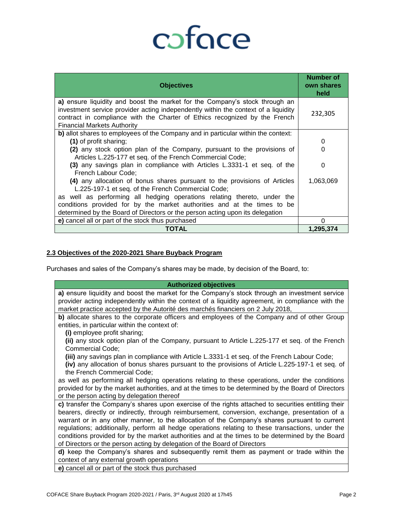# coface

| <b>Objectives</b>                                                                                                                                                                                                                                                                     | Number of<br>own shares<br>held |
|---------------------------------------------------------------------------------------------------------------------------------------------------------------------------------------------------------------------------------------------------------------------------------------|---------------------------------|
| a) ensure liquidity and boost the market for the Company's stock through an<br>investment service provider acting independently within the context of a liquidity<br>contract in compliance with the Charter of Ethics recognized by the French<br><b>Financial Markets Authority</b> | 232,305                         |
| b) allot shares to employees of the Company and in particular within the context:                                                                                                                                                                                                     |                                 |
| (1) of profit sharing;                                                                                                                                                                                                                                                                | 0                               |
| (2) any stock option plan of the Company, pursuant to the provisions of                                                                                                                                                                                                               | O                               |
| Articles L.225-177 et seq. of the French Commercial Code;                                                                                                                                                                                                                             |                                 |
| (3) any savings plan in compliance with Articles L.3331-1 et seq. of the<br>French Labour Code;                                                                                                                                                                                       | O                               |
| (4) any allocation of bonus shares pursuant to the provisions of Articles<br>L.225-197-1 et seq. of the French Commercial Code;                                                                                                                                                       | 1,063,069                       |
| as well as performing all hedging operations relating thereto, under the                                                                                                                                                                                                              |                                 |
| conditions provided for by the market authorities and at the times to be                                                                                                                                                                                                              |                                 |
| determined by the Board of Directors or the person acting upon its delegation                                                                                                                                                                                                         |                                 |
| e) cancel all or part of the stock thus purchased                                                                                                                                                                                                                                     | n                               |
| TOTAL                                                                                                                                                                                                                                                                                 | 1,295,374                       |

# **2.3 Objectives of the 2020-2021 Share Buyback Program**

Purchases and sales of the Company's shares may be made, by decision of the Board, to:

| <b>Authorized objectives</b>                                                                        |
|-----------------------------------------------------------------------------------------------------|
| a) ensure liquidity and boost the market for the Company's stock through an investment service      |
| provider acting independently within the context of a liquidity agreement, in compliance with the   |
| market practice accepted by the Autorité des marchés financiers on 2 July 2018,                     |
| b) allocate shares to the corporate officers and employees of the Company and of other Group        |
| entities, in particular within the context of:                                                      |
| (i) employee profit sharing;                                                                        |
| (ii) any stock option plan of the Company, pursuant to Article L.225-177 et seq. of the French      |
| Commercial Code;                                                                                    |
| (iii) any savings plan in compliance with Article L.3331-1 et seq. of the French Labour Code;       |
| (iv) any allocation of bonus shares pursuant to the provisions of Article L.225-197-1 et seq. of    |
| the French Commercial Code;                                                                         |
| as well as performing all hedging operations relating to these operations, under the conditions     |
| provided for by the market authorities, and at the times to be determined by the Board of Directors |
| or the person acting by delegation thereof                                                          |
| c) transfer the Company's shares upon exercise of the rights attached to securities entitling their |
| bearers, directly or indirectly, through reimbursement, conversion, exchange, presentation of a     |
| warrant or in any other manner, to the allocation of the Company's shares pursuant to current       |
| regulations; additionally, perform all hedge operations relating to these transactions, under the   |
| conditions provided for by the market authorities and at the times to be determined by the Board    |
| of Directors or the person acting by delegation of the Board of Directors                           |
| d) keep the Company's shares and subsequently remit them as payment or trade within the             |
| context of any external growth operations                                                           |
| a) concel off or port of the steel, thus purchased                                                  |

**e)** cancel all or part of the stock thus purchased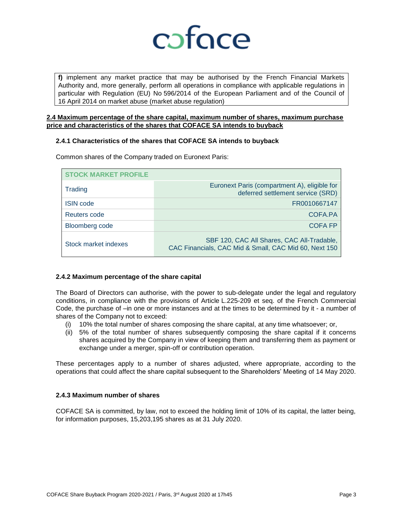

**f)** implement any market practice that may be authorised by the French Financial Markets Authority and, more generally, perform all operations in compliance with applicable regulations in particular with Regulation (EU) No 596/2014 of the European Parliament and of the Council of 16 April 2014 on market abuse (market abuse regulation)

# **2.4 Maximum percentage of the share capital, maximum number of shares, maximum purchase price and characteristics of the shares that COFACE SA intends to buyback**

# **2.4.1 Characteristics of the shares that COFACE SA intends to buyback**

| <b>STOCK MARKET PROFILE</b> |                                                                                                     |
|-----------------------------|-----------------------------------------------------------------------------------------------------|
| <b>Trading</b>              | Euronext Paris (compartment A), eligible for<br>deferred settlement service (SRD)                   |
| <b>ISIN</b> code            | FR0010667147                                                                                        |
| Reuters code                | COFA.PA                                                                                             |
| Bloomberg code              | <b>COFA FP</b>                                                                                      |
| Stock market indexes        | SBF 120, CAC All Shares, CAC All-Tradable,<br>CAC Financials, CAC Mid & Small, CAC Mid 60, Next 150 |

Common shares of the Company traded on Euronext Paris:

# **2.4.2 Maximum percentage of the share capital**

The Board of Directors can authorise, with the power to sub-delegate under the legal and regulatory conditions, in compliance with the provisions of Article L.225-209 et seq. of the French Commercial Code, the purchase of –in one or more instances and at the times to be determined by it - a number of shares of the Company not to exceed:

- (i) 10% the total number of shares composing the share capital, at any time whatsoever; or,
- (ii) 5% of the total number of shares subsequently composing the share capital if it concerns shares acquired by the Company in view of keeping them and transferring them as payment or exchange under a merger, spin-off or contribution operation.

These percentages apply to a number of shares adjusted, where appropriate, according to the operations that could affect the share capital subsequent to the Shareholders' Meeting of 14 May 2020.

# **2.4.3 Maximum number of shares**

COFACE SA is committed, by law, not to exceed the holding limit of 10% of its capital, the latter being, for information purposes, 15,203,195 shares as at 31 July 2020.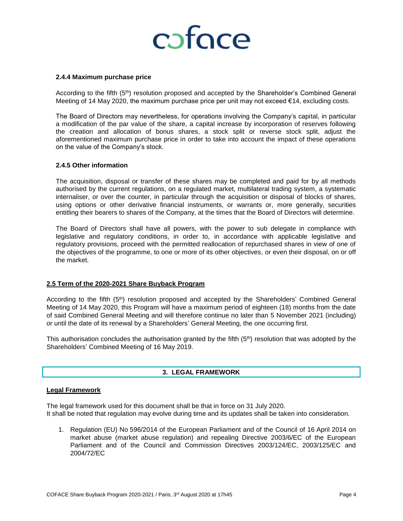# coface

#### **2.4.4 Maximum purchase price**

According to the fifth (5<sup>th</sup>) resolution proposed and accepted by the Shareholder's Combined General Meeting of 14 May 2020, the maximum purchase price per unit may not exceed €14, excluding costs.

The Board of Directors may nevertheless, for operations involving the Company's capital, in particular a modification of the par value of the share, a capital increase by incorporation of reserves following the creation and allocation of bonus shares, a stock split or reverse stock split, adjust the aforementioned maximum purchase price in order to take into account the impact of these operations on the value of the Company's stock.

#### **2.4.5 Other information**

The acquisition, disposal or transfer of these shares may be completed and paid for by all methods authorised by the current regulations, on a regulated market, multilateral trading system, a systematic internaliser, or over the counter, in particular through the acquisition or disposal of blocks of shares, using options or other derivative financial instruments, or warrants or, more generally, securities entitling their bearers to shares of the Company, at the times that the Board of Directors will determine.

The Board of Directors shall have all powers, with the power to sub delegate in compliance with legislative and regulatory conditions, in order to, in accordance with applicable legislative and regulatory provisions, proceed with the permitted reallocation of repurchased shares in view of one of the objectives of the programme, to one or more of its other objectives, or even their disposal, on or off the market.

#### **2.5 Term of the 2020-2021 Share Buyback Program**

According to the fifth (5<sup>th</sup>) resolution proposed and accepted by the Shareholders' Combined General Meeting of 14 May 2020, this Program will have a maximum period of eighteen (18) months from the date of said Combined General Meeting and will therefore continue no later than 5 November 2021 (including) or until the date of its renewal by a Shareholders' General Meeting, the one occurring first.

This authorisation concludes the authorisation granted by the fifth  $(5<sup>th</sup>)$  resolution that was adopted by the Shareholders' Combined Meeting of 16 May 2019.

# **3. LEGAL FRAMEWORK**

#### **Legal Framework**

The legal framework used for this document shall be that in force on 31 July 2020. It shall be noted that regulation may evolve during time and its updates shall be taken into consideration.

1. Regulation (EU) No 596/2014 of the European Parliament and of the Council of 16 April 2014 on market abuse (market abuse regulation) and repealing Directive 2003/6/EC of the European Parliament and of the Council and Commission Directives 2003/124/EC, 2003/125/EC and 2004/72/EC